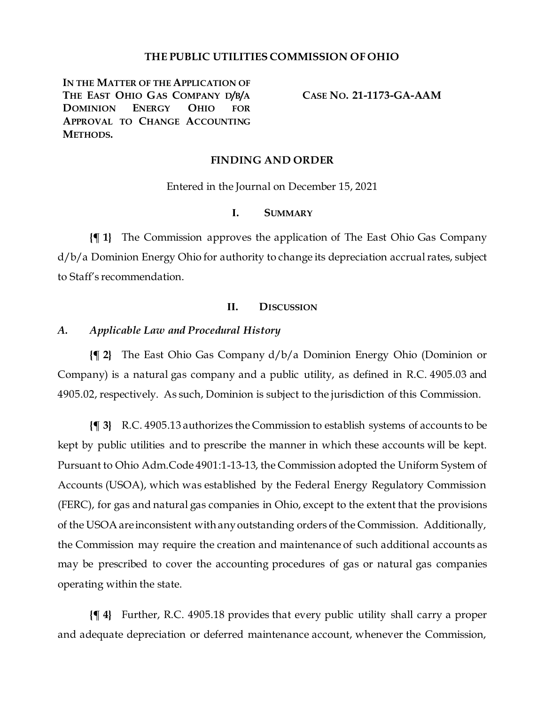## **THE PUBLIC UTILITIES COMMISSION OF OHIO**

**IN THE MATTER OF THE APPLICATION OF THE EAST OHIO GAS COMPANY D/B/A DOMINION ENERGY OHIO FOR APPROVAL TO CHANGE ACCOUNTING METHODS.**

**CASE NO. 21-1173-GA-AAM**

## **FINDING AND ORDER**

Entered in the Journal on December 15, 2021

# **I. SUMMARY**

**{¶ 1}** The Commission approves the application of The East Ohio Gas Company d/b/a Dominion Energy Ohio for authority to change its depreciation accrual rates, subject to Staff's recommendation.

### **II. DISCUSSION**

## *A. Applicable Law and Procedural History*

**{¶ 2}** The East Ohio Gas Company d/b/a Dominion Energy Ohio (Dominion or Company) is a natural gas company and a public utility, as defined in R.C. 4905.03 and 4905.02, respectively. As such, Dominion is subject to the jurisdiction of this Commission.

**{¶ 3}** R.C. 4905.13 authorizes the Commission to establish systems of accounts to be kept by public utilities and to prescribe the manner in which these accounts will be kept. Pursuant to Ohio Adm.Code 4901:1-13-13, the Commission adopted the Uniform System of Accounts (USOA), which was established by the Federal Energy Regulatory Commission (FERC), for gas and natural gas companies in Ohio, except to the extent that the provisions of the USOA are inconsistent with any outstanding orders of the Commission. Additionally, the Commission may require the creation and maintenance of such additional accounts as may be prescribed to cover the accounting procedures of gas or natural gas companies operating within the state.

**{¶ 4}** Further, R.C. 4905.18 provides that every public utility shall carry a proper and adequate depreciation or deferred maintenance account, whenever the Commission,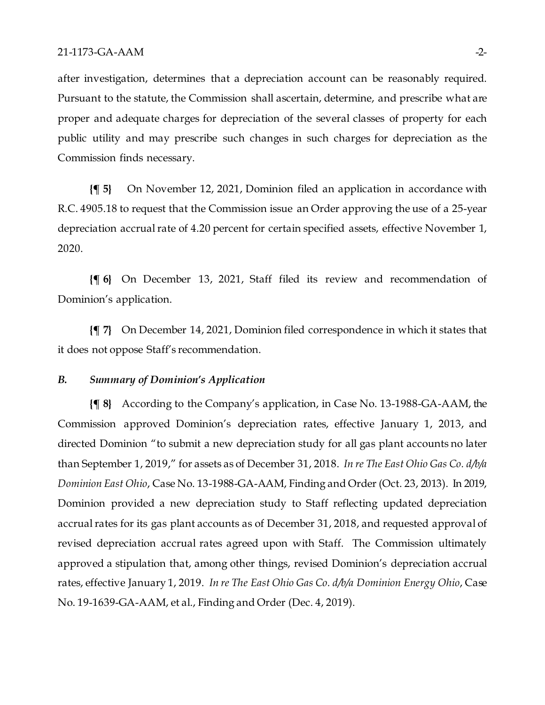after investigation, determines that a depreciation account can be reasonably required. Pursuant to the statute, the Commission shall ascertain, determine, and prescribe what are proper and adequate charges for depreciation of the several classes of property for each public utility and may prescribe such changes in such charges for depreciation as the Commission finds necessary.

**{¶ 5}** On November 12, 2021, Dominion filed an application in accordance with R.C. 4905.18 to request that the Commission issue an Order approving the use of a 25-year depreciation accrual rate of 4.20 percent for certain specified assets, effective November 1, 2020.

**{¶ 6}** On December 13, 2021, Staff filed its review and recommendation of Dominion's application.

**{¶ 7}** On December 14, 2021, Dominion filed correspondence in which it states that it does not oppose Staff's recommendation.

## *B. Summary of Dominion's Application*

**{¶ 8}** According to the Company's application, in Case No. 13-1988-GA-AAM, the Commission approved Dominion's depreciation rates, effective January 1, 2013, and directed Dominion "to submit a new depreciation study for all gas plant accounts no later than September 1, 2019," for assets as of December 31, 2018. *In re The East Ohio Gas Co. d/b/a Dominion East Ohio*, Case No. 13-1988-GA-AAM, Finding and Order (Oct. 23, 2013). In 2019, Dominion provided a new depreciation study to Staff reflecting updated depreciation accrual rates for its gas plant accounts as of December 31, 2018, and requested approval of revised depreciation accrual rates agreed upon with Staff. The Commission ultimately approved a stipulation that, among other things, revised Dominion's depreciation accrual rates, effective January 1, 2019. *In re The East Ohio Gas Co. d/b/a Dominion Energy Ohio*, Case No. 19-1639-GA-AAM, et al., Finding and Order (Dec. 4, 2019).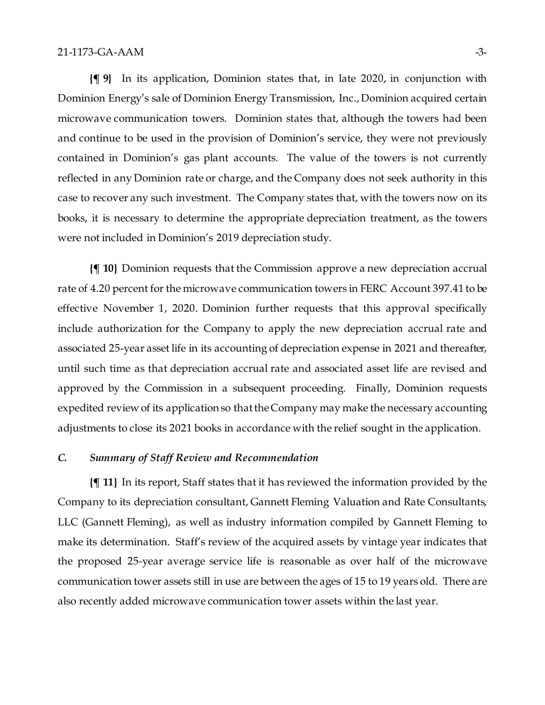**{¶ 9}** In its application, Dominion states that, in late 2020, in conjunction with Dominion Energy's sale of Dominion Energy Transmission, Inc., Dominion acquired certain microwave communication towers. Dominion states that, although the towers had been and continue to be used in the provision of Dominion's service, they were not previously contained in Dominion's gas plant accounts. The value of the towers is not currently reflected in any Dominion rate or charge, and the Company does not seek authority in this case to recover any such investment. The Company states that, with the towers now on its books, it is necessary to determine the appropriate depreciation treatment, as the towers were not included in Dominion's 2019 depreciation study.

**{¶ 10}** Dominion requests that the Commission approve a new depreciation accrual rate of 4.20 percent for the microwave communication towers in FERC Account 397.41 to be effective November 1, 2020. Dominion further requests that this approval specifically include authorization for the Company to apply the new depreciation accrual rate and associated 25-year asset life in its accounting of depreciation expense in 2021 and thereafter, until such time as that depreciation accrual rate and associated asset life are revised and approved by the Commission in a subsequent proceeding. Finally, Dominion requests expedited review of its application so that the Company may make the necessary accounting adjustments to close its 2021 books in accordance with the relief sought in the application.

# *C. Summary of Staff Review and Recommendation*

**{¶ 11}** In its report, Staff states that it has reviewed the information provided by the Company to its depreciation consultant, Gannett Fleming Valuation and Rate Consultants, LLC (Gannett Fleming), as well as industry information compiled by Gannett Fleming to make its determination. Staff's review of the acquired assets by vintage year indicates that the proposed 25-year average service life is reasonable as over half of the microwave communication tower assets still in use are between the ages of 15 to 19 years old. There are also recently added microwave communication tower assets within the last year.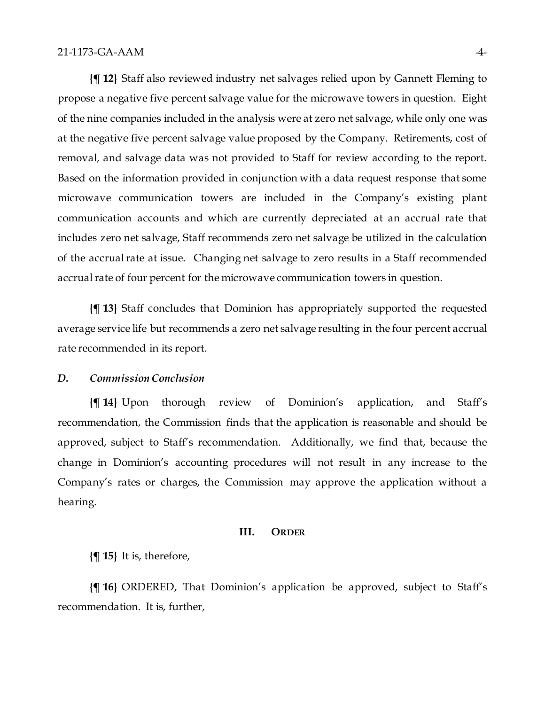**{¶ 12}** Staff also reviewed industry net salvages relied upon by Gannett Fleming to propose a negative five percent salvage value for the microwave towers in question. Eight of the nine companies included in the analysis were at zero net salvage, while only one was at the negative five percent salvage value proposed by the Company. Retirements, cost of removal, and salvage data was not provided to Staff for review according to the report. Based on the information provided in conjunction with a data request response that some microwave communication towers are included in the Company's existing plant communication accounts and which are currently depreciated at an accrual rate that includes zero net salvage, Staff recommends zero net salvage be utilized in the calculation of the accrual rate at issue. Changing net salvage to zero results in a Staff recommended accrual rate of four percent for the microwave communication towers in question.

**{¶ 13}** Staff concludes that Dominion has appropriately supported the requested average service life but recommends a zero net salvage resulting in the four percent accrual rate recommended in its report.

### *D. Commission Conclusion*

**{¶ 14}** Upon thorough review of Dominion's application, and Staff's recommendation, the Commission finds that the application is reasonable and should be approved, subject to Staff's recommendation. Additionally, we find that, because the change in Dominion's accounting procedures will not result in any increase to the Company's rates or charges, the Commission may approve the application without a hearing.

#### **III. ORDER**

**{¶ 15}** It is, therefore,

**{¶ 16}** ORDERED, That Dominion's application be approved, subject to Staff's recommendation. It is, further,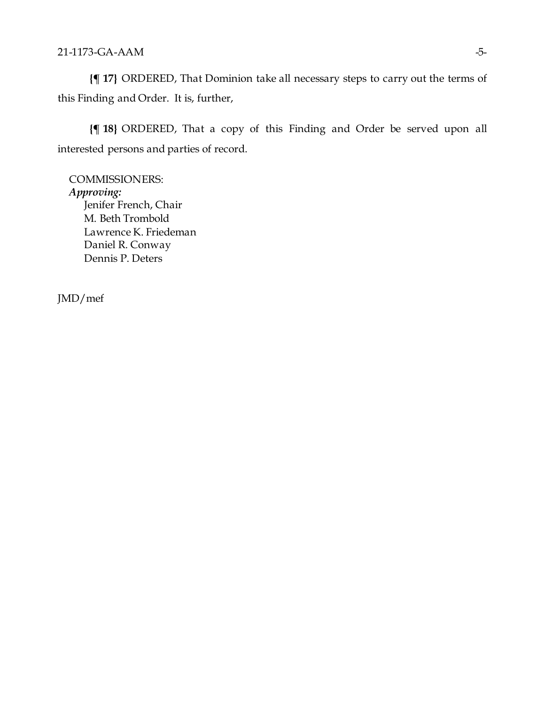**{¶ 17}** ORDERED, That Dominion take all necessary steps to carry out the terms of this Finding and Order. It is, further,

**{¶ 18}** ORDERED, That a copy of this Finding and Order be served upon all interested persons and parties of record.

COMMISSIONERS: *Approving:*  Jenifer French, Chair M. Beth Trombold Lawrence K. Friedeman Daniel R. Conway Dennis P. Deters

JMD/mef